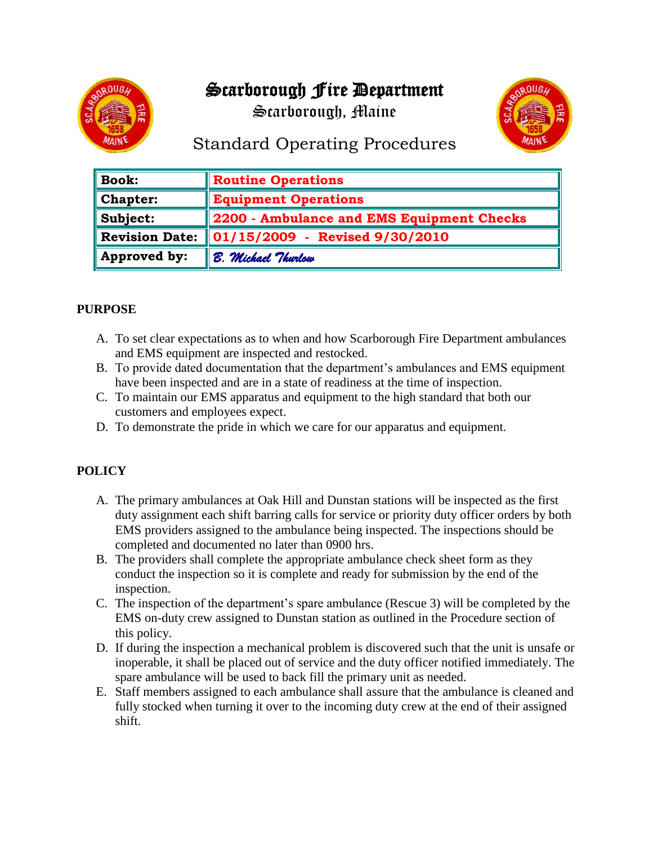# Scarborough Fire Department



Scarborough, Maine



# Standard Operating Procedures

| <b>Book:</b>          | <b>Routine Operations</b>                 |
|-----------------------|-------------------------------------------|
| Chapter:              | <b>Equipment Operations</b>               |
| Subject:              | 2200 - Ambulance and EMS Equipment Checks |
| <b>Revision Date:</b> | $\ 01/15/2009 -$ Revised 9/30/2010        |
| Approved by:          | B. Michael Thurlow                        |

## **PURPOSE**

- A. To set clear expectations as to when and how Scarborough Fire Department ambulances and EMS equipment are inspected and restocked.
- B. To provide dated documentation that the department's ambulances and EMS equipment have been inspected and are in a state of readiness at the time of inspection.
- C. To maintain our EMS apparatus and equipment to the high standard that both our customers and employees expect.
- D. To demonstrate the pride in which we care for our apparatus and equipment.

## **POLICY**

- A. The primary ambulances at Oak Hill and Dunstan stations will be inspected as the first duty assignment each shift barring calls for service or priority duty officer orders by both EMS providers assigned to the ambulance being inspected. The inspections should be completed and documented no later than 0900 hrs.
- B. The providers shall complete the appropriate ambulance check sheet form as they conduct the inspection so it is complete and ready for submission by the end of the inspection.
- C. The inspection of the department's spare ambulance (Rescue 3) will be completed by the EMS on-duty crew assigned to Dunstan station as outlined in the Procedure section of this policy.
- D. If during the inspection a mechanical problem is discovered such that the unit is unsafe or inoperable, it shall be placed out of service and the duty officer notified immediately. The spare ambulance will be used to back fill the primary unit as needed.
- E. Staff members assigned to each ambulance shall assure that the ambulance is cleaned and fully stocked when turning it over to the incoming duty crew at the end of their assigned shift.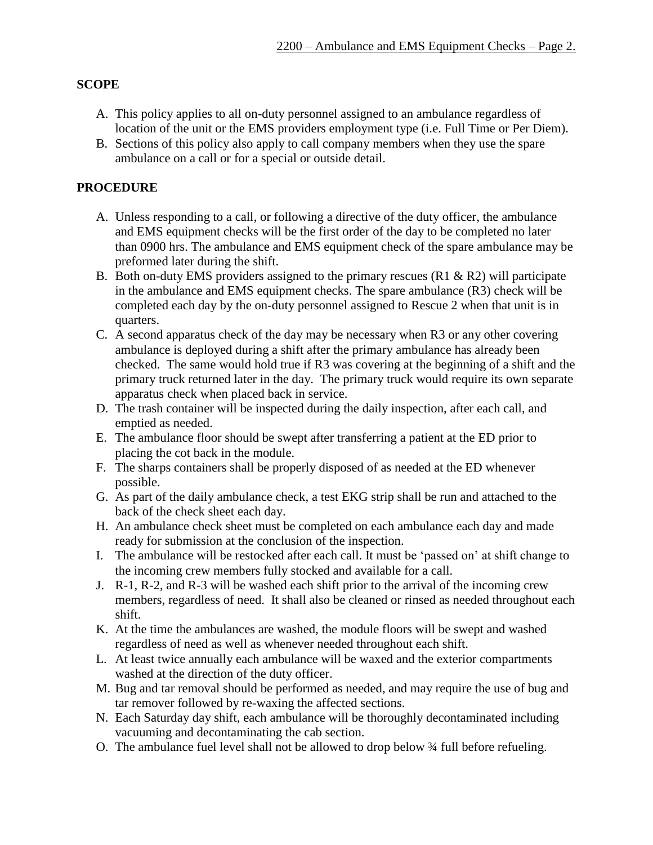## **SCOPE**

- A. This policy applies to all on-duty personnel assigned to an ambulance regardless of location of the unit or the EMS providers employment type (i.e. Full Time or Per Diem).
- B. Sections of this policy also apply to call company members when they use the spare ambulance on a call or for a special or outside detail.

## **PROCEDURE**

- A. Unless responding to a call, or following a directive of the duty officer, the ambulance and EMS equipment checks will be the first order of the day to be completed no later than 0900 hrs. The ambulance and EMS equipment check of the spare ambulance may be preformed later during the shift.
- B. Both on-duty EMS providers assigned to the primary rescues (R1 & R2) will participate in the ambulance and EMS equipment checks. The spare ambulance (R3) check will be completed each day by the on-duty personnel assigned to Rescue 2 when that unit is in quarters.
- C. A second apparatus check of the day may be necessary when R3 or any other covering ambulance is deployed during a shift after the primary ambulance has already been checked. The same would hold true if R3 was covering at the beginning of a shift and the primary truck returned later in the day. The primary truck would require its own separate apparatus check when placed back in service.
- D. The trash container will be inspected during the daily inspection, after each call, and emptied as needed.
- E. The ambulance floor should be swept after transferring a patient at the ED prior to placing the cot back in the module.
- F. The sharps containers shall be properly disposed of as needed at the ED whenever possible.
- G. As part of the daily ambulance check, a test EKG strip shall be run and attached to the back of the check sheet each day.
- H. An ambulance check sheet must be completed on each ambulance each day and made ready for submission at the conclusion of the inspection.
- I. The ambulance will be restocked after each call. It must be 'passed on' at shift change to the incoming crew members fully stocked and available for a call.
- J. R-1, R-2, and R-3 will be washed each shift prior to the arrival of the incoming crew members, regardless of need. It shall also be cleaned or rinsed as needed throughout each shift.
- K. At the time the ambulances are washed, the module floors will be swept and washed regardless of need as well as whenever needed throughout each shift.
- L. At least twice annually each ambulance will be waxed and the exterior compartments washed at the direction of the duty officer.
- M. Bug and tar removal should be performed as needed, and may require the use of bug and tar remover followed by re-waxing the affected sections.
- N. Each Saturday day shift, each ambulance will be thoroughly decontaminated including vacuuming and decontaminating the cab section.
- O. The ambulance fuel level shall not be allowed to drop below ¾ full before refueling.